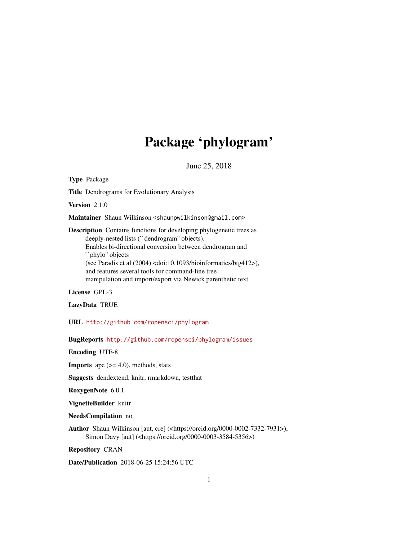# Package 'phylogram'

June 25, 2018

Title Dendrograms for Evolutionary Analysis Version 2.1.0 Maintainer Shaun Wilkinson <shaunpwilkinson@gmail.com> Description Contains functions for developing phylogenetic trees as deeply-nested lists (``dendrogram'' objects). Enables bi-directional conversion between dendrogram and ``phylo'' objects (see Paradis et al (2004) <doi:10.1093/bioinformatics/btg412>), and features several tools for command-line tree manipulation and import/export via Newick parenthetic text.

License GPL-3

<span id="page-0-0"></span>Type Package

LazyData TRUE

URL <http://github.com/ropensci/phylogram>

BugReports <http://github.com/ropensci/phylogram/issues>

Encoding UTF-8

**Imports** ape  $(>= 4.0)$ , methods, stats

Suggests dendextend, knitr, rmarkdown, testthat

RoxygenNote 6.0.1

VignetteBuilder knitr

NeedsCompilation no

Author Shaun Wilkinson [aut, cre] (<https://orcid.org/0000-0002-7332-7931>), Simon Davy [aut] (<https://orcid.org/0000-0003-3584-5356>)

Repository CRAN

Date/Publication 2018-06-25 15:24:56 UTC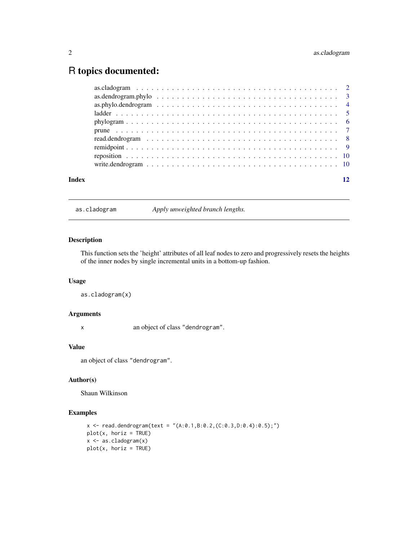# <span id="page-1-0"></span>R topics documented:

| Index |  |
|-------|--|
|       |  |
|       |  |
|       |  |
|       |  |
|       |  |
|       |  |
|       |  |
|       |  |
|       |  |
|       |  |

<span id="page-1-1"></span>as.cladogram *Apply unweighted branch lengths.*

# Description

This function sets the 'height' attributes of all leaf nodes to zero and progressively resets the heights of the inner nodes by single incremental units in a bottom-up fashion.

### Usage

as.cladogram(x)

#### Arguments

x an object of class "dendrogram".

# Value

an object of class "dendrogram".

# Author(s)

Shaun Wilkinson

```
x <- read.dendrogram(text = "(A:0.1,B:0.2,(C:0.3,D:0.4):0.5);")
plot(x, horiz = TRUE)x <- as.cladogram(x)
plot(x, horiz = TRUE)
```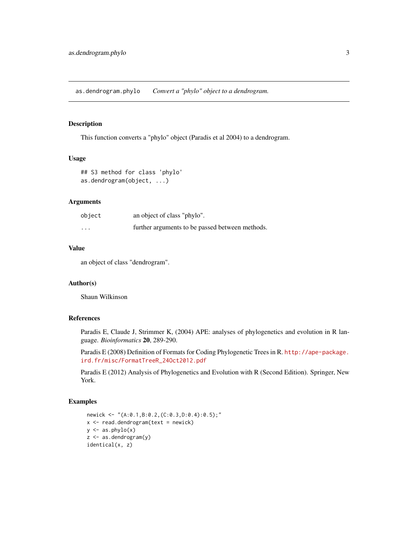<span id="page-2-1"></span><span id="page-2-0"></span>as.dendrogram.phylo *Convert a "phylo" object to a dendrogram.*

# Description

This function converts a "phylo" object (Paradis et al 2004) to a dendrogram.

#### Usage

```
## S3 method for class 'phylo'
as.dendrogram(object, ...)
```
#### Arguments

| object               | an object of class "phylo".                     |
|----------------------|-------------------------------------------------|
| $\ddot{\phantom{0}}$ | further arguments to be passed between methods. |

# Value

an object of class "dendrogram".

#### Author(s)

Shaun Wilkinson

# References

Paradis E, Claude J, Strimmer K, (2004) APE: analyses of phylogenetics and evolution in R language. *Bioinformatics* 20, 289-290.

Paradis E (2008) Definition of Formats for Coding Phylogenetic Trees in R. [http://ape-package.](http://ape-package.ird.fr/misc/FormatTreeR_24Oct2012.pdf) [ird.fr/misc/FormatTreeR\\_24Oct2012.pdf](http://ape-package.ird.fr/misc/FormatTreeR_24Oct2012.pdf)

Paradis E (2012) Analysis of Phylogenetics and Evolution with R (Second Edition). Springer, New York.

```
newick <- "(A:0.1,B:0.2,(C:0.3,D:0.4):0.5);"
x < - read.dendrogram(text = newick)
y \leftarrow as  -phylo(x)z <- as.dendrogram(y)
identical(x, z)
```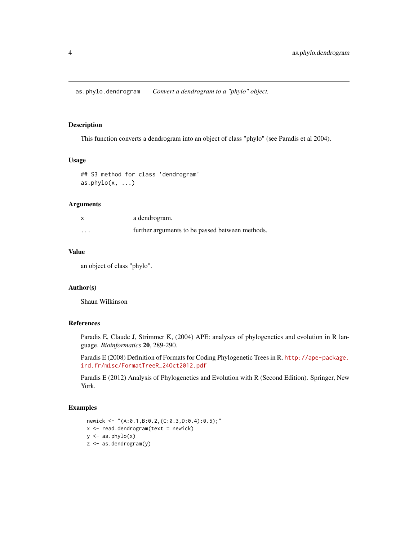<span id="page-3-1"></span><span id="page-3-0"></span>as.phylo.dendrogram *Convert a dendrogram to a "phylo" object.*

### Description

This function converts a dendrogram into an object of class "phylo" (see Paradis et al 2004).

#### Usage

## S3 method for class 'dendrogram'  $as. phylo(x, \ldots)$ 

#### Arguments

| $\boldsymbol{\mathsf{x}}$ | a dendrogram.                                   |
|---------------------------|-------------------------------------------------|
| $\cdots$                  | further arguments to be passed between methods. |

# Value

an object of class "phylo".

### Author(s)

Shaun Wilkinson

# References

Paradis E, Claude J, Strimmer K, (2004) APE: analyses of phylogenetics and evolution in R language. *Bioinformatics* 20, 289-290.

Paradis E (2008) Definition of Formats for Coding Phylogenetic Trees in R. [http://ape-package.](http://ape-package.ird.fr/misc/FormatTreeR_24Oct2012.pdf) [ird.fr/misc/FormatTreeR\\_24Oct2012.pdf](http://ape-package.ird.fr/misc/FormatTreeR_24Oct2012.pdf)

Paradis E (2012) Analysis of Phylogenetics and Evolution with R (Second Edition). Springer, New York.

```
newick <- "(A:0.1,B:0.2,(C:0.3,D:0.4):0.5);"
x <- read.dendrogram(text = newick)
y \leftarrow as  -phylo(x)z <- as.dendrogram(y)
```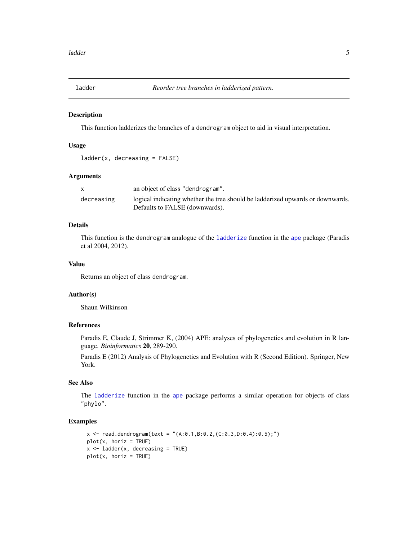<span id="page-4-1"></span><span id="page-4-0"></span>

This function ladderizes the branches of a dendrogram object to aid in visual interpretation.

#### Usage

```
ladder(x, decreasing = FALSE)
```
#### Arguments

|            | an object of class "dendrogram".                                               |
|------------|--------------------------------------------------------------------------------|
| decreasing | logical indicating whether the tree should be ladderized upwards or downwards. |
|            | Defaults to FALSE (downwards).                                                 |

# Details

This function is the dendrogram analogue of the [ladderize](#page-0-0) function in the [ape](#page-0-0) package (Paradis et al 2004, 2012).

### Value

Returns an object of class dendrogram.

# Author(s)

Shaun Wilkinson

# References

Paradis E, Claude J, Strimmer K, (2004) APE: analyses of phylogenetics and evolution in R language. *Bioinformatics* 20, 289-290.

Paradis E (2012) Analysis of Phylogenetics and Evolution with R (Second Edition). Springer, New York.

# See Also

The [ladderize](#page-0-0) function in the [ape](#page-0-0) package performs a similar operation for objects of class "phylo".

```
x \le read.dendrogram(text = "(A:0.1,B:0.2,(C:0.3,D:0.4):0.5);")
plot(x, horiz = TRUE)x \le - ladder(x, decreasing = TRUE)
plot(x, horiz = TRUE)
```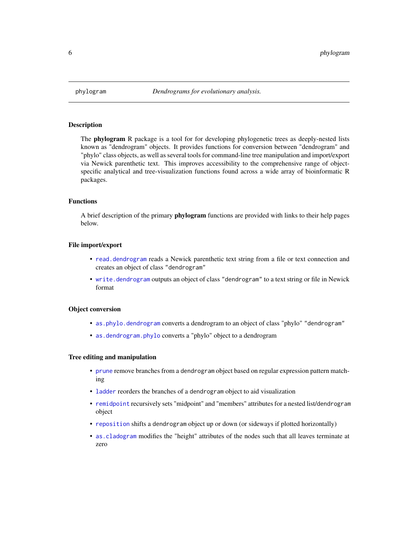<span id="page-5-0"></span>

The **phylogram** R package is a tool for for developing phylogenetic trees as deeply-nested lists known as "dendrogram" objects. It provides functions for conversion between "dendrogram" and "phylo" class objects, as well as several tools for command-line tree manipulation and import/export via Newick parenthetic text. This improves accessibility to the comprehensive range of objectspecific analytical and tree-visualization functions found across a wide array of bioinformatic R packages.

# Functions

A brief description of the primary **phylogram** functions are provided with links to their help pages below.

#### File import/export

- [read.dendrogram](#page-7-1) reads a Newick parenthetic text string from a file or text connection and creates an object of class "dendrogram"
- [write.dendrogram](#page-9-1) outputs an object of class "dendrogram" to a text string or file in Newick format

#### Object conversion

- [as.phylo.dendrogram](#page-3-1) converts a dendrogram to an object of class "phylo" "dendrogram"
- [as.dendrogram.phylo](#page-2-1) converts a "phylo" object to a dendrogram

#### Tree editing and manipulation

- [prune](#page-6-1) remove branches from a dendrogram object based on regular expression pattern matching
- [ladder](#page-4-1) reorders the branches of a dendrogram object to aid visualization
- [remidpoint](#page-8-1) recursively sets "midpoint" and "members" attributes for a nested list/dendrogram object
- [reposition](#page-9-2) shifts a dendrogram object up or down (or sideways if plotted horizontally)
- [as.cladogram](#page-1-1) modifies the "height" attributes of the nodes such that all leaves terminate at zero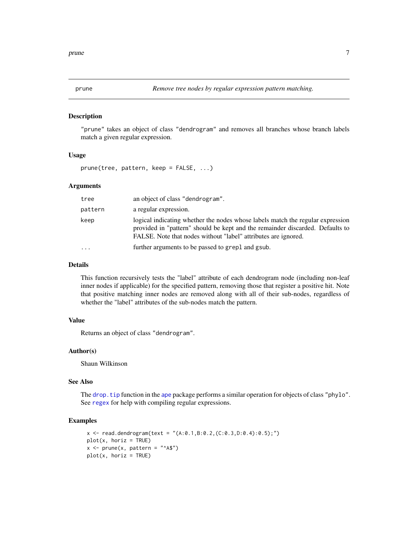<span id="page-6-1"></span><span id="page-6-0"></span>"prune" takes an object of class "dendrogram" and removes all branches whose branch labels match a given regular expression.

#### Usage

prune(tree, pattern, keep = FALSE, ...)

### Arguments

| tree     | an object of class "dendrogram".                                                                                                                                                                                                  |
|----------|-----------------------------------------------------------------------------------------------------------------------------------------------------------------------------------------------------------------------------------|
| pattern  | a regular expression.                                                                                                                                                                                                             |
| keep     | logical indicating whether the nodes whose labels match the regular expression<br>provided in "pattern" should be kept and the remainder discarded. Defaults to<br>FALSE. Note that nodes without "label" attributes are ignored. |
| $\cdots$ | further arguments to be passed to grep1 and gsub.                                                                                                                                                                                 |

#### Details

This function recursively tests the "label" attribute of each dendrogram node (including non-leaf inner nodes if applicable) for the specified pattern, removing those that register a positive hit. Note that positive matching inner nodes are removed along with all of their sub-nodes, regardless of whether the "label" attributes of the sub-nodes match the pattern.

# Value

Returns an object of class "dendrogram".

#### Author(s)

Shaun Wilkinson

#### See Also

The drop. tip function in the [ape](#page-0-0) package performs a similar operation for objects of class "phylo". See [regex](#page-0-0) for help with compiling regular expressions.

```
x \le - read.dendrogram(text = "(A:0.1,B:0.2,(C:0.3,D:0.4):0.5);")
plot(x, horiz = TRUE)x \leftarrow prune(x, pattern = "^A$")
plot(x, horiz = TRUE)
```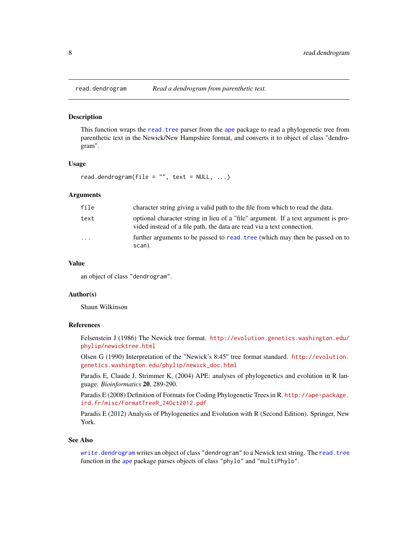This function wraps the [read.tree](#page-0-0) parser from the [ape](#page-0-0) package to read a phylogenetic tree from parenthetic text in the Newick/New Hampshire format, and converts it to object of class "dendrogram".

#### Usage

```
read.dendrogram(file = ", text = NULL, ...)
```
# Arguments

| file                    | character string giving a valid path to the file from which to read the data.                                                                                |
|-------------------------|--------------------------------------------------------------------------------------------------------------------------------------------------------------|
| text                    | optional character string in lieu of a "file" argument. If a text argument is pro-<br>vided instead of a file path, the data are read via a text connection. |
| $\cdot$ $\cdot$ $\cdot$ | further arguments to be passed to read, tree (which may then be passed on to<br>scan).                                                                       |

### Value

an object of class "dendrogram".

#### Author(s)

Shaun Wilkinson

# References

Felsenstein J (1986) The Newick tree format. [http://evolution.genetics.washington.edu/](http://evolution.genetics.washington.edu/phylip/newicktree.html) [phylip/newicktree.html](http://evolution.genetics.washington.edu/phylip/newicktree.html)

Olsen G (1990) Interpretation of the "Newick's 8:45" tree format standard. [http://evolution.](http://evolution.genetics.washington.edu/phylip/newick_doc.html) [genetics.washington.edu/phylip/newick\\_doc.html](http://evolution.genetics.washington.edu/phylip/newick_doc.html)

Paradis E, Claude J, Strimmer K, (2004) APE: analyses of phylogenetics and evolution in R language. *Bioinformatics* 20, 289-290.

Paradis E (2008) Definition of Formats for Coding Phylogenetic Trees in R. [http://ape-package.](http://ape-package.ird.fr/misc/FormatTreeR_24Oct2012.pdf) [ird.fr/misc/FormatTreeR\\_24Oct2012.pdf](http://ape-package.ird.fr/misc/FormatTreeR_24Oct2012.pdf)

Paradis E (2012) Analysis of Phylogenetics and Evolution with R (Second Edition). Springer, New York.

#### See Also

[write.dendrogram](#page-9-1) writes an object of class "dendrogram" to a Newick text string. The [read.tree](#page-0-0) function in the [ape](#page-0-0) package parses objects of class "phylo" and "multiPhylo".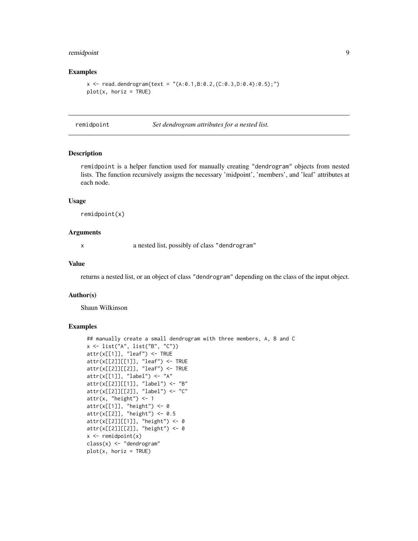#### <span id="page-8-0"></span>remidpoint that the contract of the contract of the contract of the contract of the contract of the contract of

#### Examples

```
x \le read.dendrogram(text = "(A:0.1,B:0.2,(C:0.3,D:0.4):0.5);")
plot(x, horiz = TRUE)
```
<span id="page-8-1"></span>remidpoint *Set dendrogram attributes for a nested list.*

# Description

remidpoint is a helper function used for manually creating "dendrogram" objects from nested lists. The function recursively assigns the necessary 'midpoint', 'members', and 'leaf' attributes at each node.

#### Usage

remidpoint(x)

#### Arguments

x a nested list, possibly of class "dendrogram"

# Value

returns a nested list, or an object of class "dendrogram" depending on the class of the input object.

#### Author(s)

Shaun Wilkinson

```
## manually create a small dendrogram with three members, A, B and C
x <- list("A", list("B", "C"))
attr(x[[1]], "leaf") <- TRUE
attr(x[[2]][[1]], "leaf") <- TRUE
attr(x[[2]][[2]], "leaf") <- TRUE
attr(x[[1]], "label") <- "A"
attr(x[[2]][[1]], "label") <- "B"
attr(x[[2]][[2]], "label") <- "C"
attr(x, "height") \leq 1attr(x[[1]], "height") <- 0
attr(x[[2]], "height") <- 0.5
attr(x[[2]][[1]], "height") <- 0
attr(x[[2]][[2]], "height") <- 0
x \leftarrow \text{remidpoint}(x)class(x) <- "dendrogram"
plot(x, horiz = TRUE)
```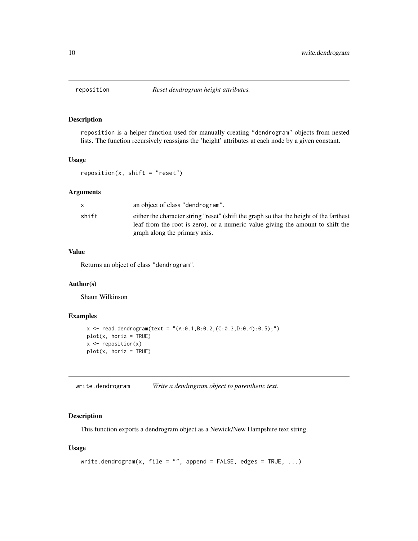<span id="page-9-2"></span><span id="page-9-0"></span>

reposition is a helper function used for manually creating "dendrogram" objects from nested lists. The function recursively reassigns the 'height' attributes at each node by a given constant.

#### Usage

 $reposition(x, shift = "reset")$ 

# Arguments

|       | an object of class "dendrogram".                                                                                                                                                                           |
|-------|------------------------------------------------------------------------------------------------------------------------------------------------------------------------------------------------------------|
| shift | either the character string "reset" (shift the graph so that the height of the farthest<br>leaf from the root is zero), or a numeric value giving the amount to shift the<br>graph along the primary axis. |

# Value

Returns an object of class "dendrogram".

# Author(s)

Shaun Wilkinson

# Examples

```
x \le - read.dendrogram(text = "(A:0.1,B:0.2,(C:0.3,D:0.4):0.5);")
plot(x, horiz = TRUE)x \leftarrow \text{reposition}(x)plot(x, horiz = TRUE)
```
<span id="page-9-1"></span>write.dendrogram *Write a dendrogram object to parenthetic text.*

#### Description

This function exports a dendrogram object as a Newick/New Hampshire text string.

# Usage

```
write.dendrogram(x, file = "", append = FALSE, edges = TRUE, \dots)
```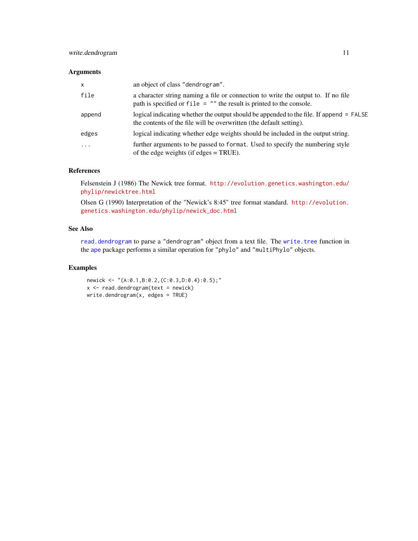# <span id="page-10-0"></span>write.dendrogram 11

#### Arguments

| $\mathsf{x}$ | an object of class "dendrogram".                                                                                                                               |
|--------------|----------------------------------------------------------------------------------------------------------------------------------------------------------------|
| file         | a character string naming a file or connection to write the output to. If no file<br>path is specified or $file = ""$ the result is printed to the console.    |
| append       | logical indicating whether the output should be appended to the file. If append = FALSE<br>the contents of the file will be overwritten (the default setting). |
| edges        | logical indicating whether edge weights should be included in the output string.                                                                               |
| $\ddotsc$    | further arguments to be passed to format. Used to specify the numbering style<br>of the edge weights (if edges $=$ TRUE).                                      |

#### References

Felsenstein J (1986) The Newick tree format. [http://evolution.genetics.washington.edu/](http://evolution.genetics.washington.edu/phylip/newicktree.html) [phylip/newicktree.html](http://evolution.genetics.washington.edu/phylip/newicktree.html)

Olsen G (1990) Interpretation of the "Newick's 8:45" tree format standard. [http://evolution.](http://evolution.genetics.washington.edu/phylip/newick_doc.html) [genetics.washington.edu/phylip/newick\\_doc.html](http://evolution.genetics.washington.edu/phylip/newick_doc.html)

# See Also

[read.dendrogram](#page-7-1) to parse a "dendrogram" object from a text file. The [write.tree](#page-0-0) function in the [ape](#page-0-0) package performs a similar operation for "phylo" and "multiPhylo" objects.

#### Examples

newick <- "(A:0.1,B:0.2,(C:0.3,D:0.4):0.5);"  $x$  <- read.dendrogram(text = newick) write.dendrogram(x, edges = TRUE)